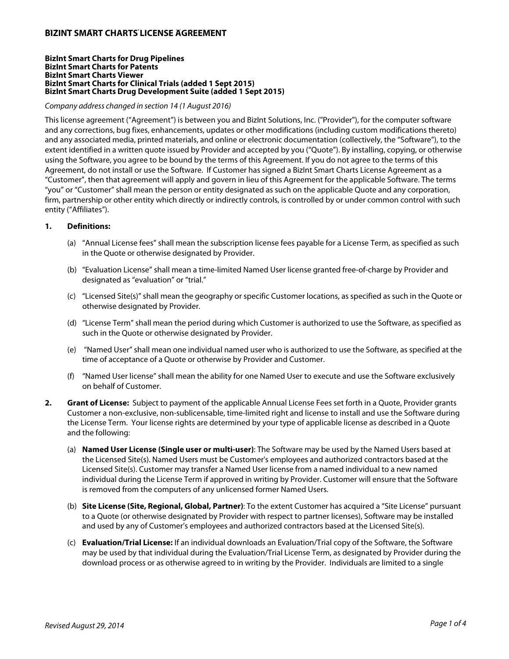# **BIZINT SMART CHARTS LICENSE AGREEMENT**

#### **BizInt Smart Charts for Drug Pipelines BizInt Smart Charts for Patents BizInt Smart Charts Viewer BizInt Smart Charts for Clinical Trials (added 1 Sept 2015) BizInt Smart Charts Drug Development Suite (added 1 Sept 2015)**

## Company address changed in section 14 (1 August 2016)

This license agreement ("Agreement") is between you and BizInt Solutions, Inc. ("Provider"), for the computer software and any corrections, bug fixes, enhancements, updates or other modifications (including custom modifications thereto) and any associated media, printed materials, and online or electronic documentation (collectively, the "Software"), to the extent identified in a written quote issued by Provider and accepted by you ("Quote"). By installing, copying, or otherwise using the Software, you agree to be bound by the terms of this Agreement. If you do not agree to the terms of this Agreement, do not install or use the Software. If Customer has signed a BizInt Smart Charts License Agreement as a "Customer", then that agreement will apply and govern in lieu of this Agreement for the applicable Software. The terms "you" or "Customer" shall mean the person or entity designated as such on the applicable Quote and any corporation, firm, partnership or other entity which directly or indirectly controls, is controlled by or under common control with such entity ("Affiliates").

### **1. Definitions:**

- (a) "Annual License fees" shall mean the subscription license fees payable for a License Term, as specified as such in the Quote or otherwise designated by Provider.
- (b) "Evaluation License" shall mean a time-limited Named User license granted free-of-charge by Provider and designated as "evaluation" or "trial."
- (c) "Licensed Site(s)" shall mean the geography or specific Customer locations, as specified as such in the Quote or otherwise designated by Provider.
- (d) "License Term" shall mean the period during which Customer is authorized to use the Software, as specified as such in the Quote or otherwise designated by Provider.
- (e) "Named User" shall mean one individual named user who is authorized to use the Software, as specified at the time of acceptance of a Quote or otherwise by Provider and Customer.
- (f) "Named User license" shall mean the ability for one Named User to execute and use the Software exclusively on behalf of Customer.
- **2. Grant of License:** Subject to payment of the applicable Annual License Fees set forth in a Quote, Provider grants Customer a non-exclusive, non-sublicensable, time-limited right and license to install and use the Software during the License Term. Your license rights are determined by your type of applicable license as described in a Quote and the following:
	- (a) **Named User License (Single user or multi-user)**: The Software may be used by the Named Users based at the Licensed Site(s). Named Users must be Customer's employees and authorized contractors based at the Licensed Site(s). Customer may transfer a Named User license from a named individual to a new named individual during the License Term if approved in writing by Provider. Customer will ensure that the Software is removed from the computers of any unlicensed former Named Users.
	- (b) **Site License (Site, Regional, Global, Partner)**: To the extent Customer has acquired a "Site License" pursuant to a Quote (or otherwise designated by Provider with respect to partner licenses), Software may be installed and used by any of Customer's employees and authorized contractors based at the Licensed Site(s).
	- (c) **Evaluation/Trial License:** If an individual downloads an Evaluation/Trial copy of the Software, the Software may be used by that individual during the Evaluation/Trial License Term, as designated by Provider during the download process or as otherwise agreed to in writing by the Provider. Individuals are limited to a single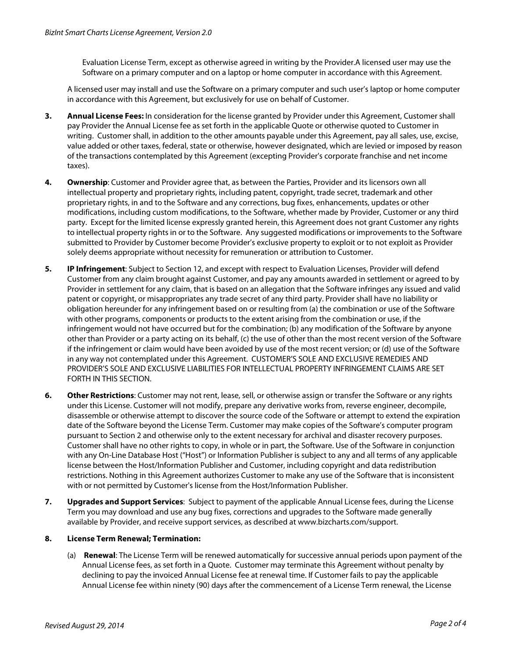Evaluation License Term, except as otherwise agreed in writing by the Provider.A licensed user may use the Software on a primary computer and on a laptop or home computer in accordance with this Agreement.

A licensed user may install and use the Software on a primary computer and such user's laptop or home computer in accordance with this Agreement, but exclusively for use on behalf of Customer.

- **3. Annual License Fees:** In consideration for the license granted by Provider under this Agreement, Customer shall pay Provider the Annual License fee as set forth in the applicable Quote or otherwise quoted to Customer in writing. Customer shall, in addition to the other amounts payable under this Agreement, pay all sales, use, excise, value added or other taxes, federal, state or otherwise, however designated, which are levied or imposed by reason of the transactions contemplated by this Agreement (excepting Provider's corporate franchise and net income taxes).
- **4. Ownership**: Customer and Provider agree that, as between the Parties, Provider and its licensors own all intellectual property and proprietary rights, including patent, copyright, trade secret, trademark and other proprietary rights, in and to the Software and any corrections, bug fixes, enhancements, updates or other modifications, including custom modifications, to the Software, whether made by Provider, Customer or any third party. Except for the limited license expressly granted herein, this Agreement does not grant Customer any rights to intellectual property rights in or to the Software. Any suggested modifications or improvements to the Software submitted to Provider by Customer become Provider's exclusive property to exploit or to not exploit as Provider solely deems appropriate without necessity for remuneration or attribution to Customer.
- **5. IP Infringement**: Subject to Section 12, and except with respect to Evaluation Licenses, Provider will defend Customer from any claim brought against Customer, and pay any amounts awarded in settlement or agreed to by Provider in settlement for any claim, that is based on an allegation that the Software infringes any issued and valid patent or copyright, or misappropriates any trade secret of any third party. Provider shall have no liability or obligation hereunder for any infringement based on or resulting from (a) the combination or use of the Software with other programs, components or products to the extent arising from the combination or use, if the infringement would not have occurred but for the combination; (b) any modification of the Software by anyone other than Provider or a party acting on its behalf, (c) the use of other than the most recent version of the Software if the infringement or claim would have been avoided by use of the most recent version; or (d) use of the Software in any way not contemplated under this Agreement. CUSTOMER'S SOLE AND EXCLUSIVE REMEDIES AND PROVIDER'S SOLE AND EXCLUSIVE LIABILITIES FOR INTELLECTUAL PROPERTY INFRINGEMENT CLAIMS ARE SET FORTH IN THIS SECTION.
- **6. Other Restrictions**: Customer may not rent, lease, sell, or otherwise assign or transfer the Software or any rights under this License. Customer will not modify, prepare any derivative works from, reverse engineer, decompile, disassemble or otherwise attempt to discover the source code of the Software or attempt to extend the expiration date of the Software beyond the License Term. Customer may make copies of the Software's computer program pursuant to Section 2 and otherwise only to the extent necessary for archival and disaster recovery purposes. Customer shall have no other rights to copy, in whole or in part, the Software. Use of the Software in conjunction with any On-Line Database Host ("Host") or Information Publisher is subject to any and all terms of any applicable license between the Host/Information Publisher and Customer, including copyright and data redistribution restrictions. Nothing in this Agreement authorizes Customer to make any use of the Software that is inconsistent with or not permitted by Customer's license from the Host/Information Publisher.
- **7. Upgrades and Support Services**: Subject to payment of the applicable Annual License fees, during the License Term you may download and use any bug fixes, corrections and upgrades to the Software made generally available by Provider, and receive support services, as described at www.bizcharts.com/support.

## **8. License Term Renewal; Termination:**

(a) **Renewal**: The License Term will be renewed automatically for successive annual periods upon payment of the Annual License fees, as set forth in a Quote. Customer may terminate this Agreement without penalty by declining to pay the invoiced Annual License fee at renewal time. If Customer fails to pay the applicable Annual License fee within ninety (90) days after the commencement of a License Term renewal, the License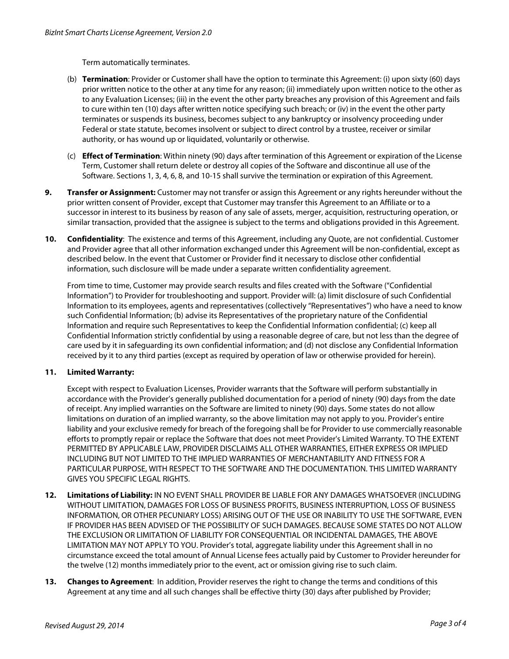Term automatically terminates.

- (b) **Termination**: Provider or Customer shall have the option to terminate this Agreement: (i) upon sixty (60) days prior written notice to the other at any time for any reason; (ii) immediately upon written notice to the other as to any Evaluation Licenses; (iii) in the event the other party breaches any provision of this Agreement and fails to cure within ten (10) days after written notice specifying such breach; or (iv) in the event the other party terminates or suspends its business, becomes subject to any bankruptcy or insolvency proceeding under Federal or state statute, becomes insolvent or subject to direct control by a trustee, receiver or similar authority, or has wound up or liquidated, voluntarily or otherwise.
- (c) **Effect of Termination**: Within ninety (90) days after termination of this Agreement or expiration of the License Term, Customer shall return delete or destroy all copies of the Software and discontinue all use of the Software. Sections 1, 3, 4, 6, 8, and 10-15 shall survive the termination or expiration of this Agreement.
- **9. Transfer or Assignment:** Customer may not transfer or assign this Agreement or any rights hereunder without the prior written consent of Provider, except that Customer may transfer this Agreement to an Affiliate or to a successor in interest to its business by reason of any sale of assets, merger, acquisition, restructuring operation, or similar transaction, provided that the assignee is subject to the terms and obligations provided in this Agreement.
- **10. Confidentiality**: The existence and terms of this Agreement, including any Quote, are not confidential. Customer and Provider agree that all other information exchanged under this Agreement will be non-confidential, except as described below. In the event that Customer or Provider find it necessary to disclose other confidential information, such disclosure will be made under a separate written confidentiality agreement.

From time to time, Customer may provide search results and files created with the Software ("Confidential Information") to Provider for troubleshooting and support. Provider will: (a) limit disclosure of such Confidential Information to its employees, agents and representatives (collectively "Representatives") who have a need to know such Confidential Information; (b) advise its Representatives of the proprietary nature of the Confidential Information and require such Representatives to keep the Confidential Information confidential; (c) keep all Confidential Information strictly confidential by using a reasonable degree of care, but not less than the degree of care used by it in safeguarding its own confidential information; and (d) not disclose any Confidential Information received by it to any third parties (except as required by operation of law or otherwise provided for herein).

## **11. Limited Warranty:**

Except with respect to Evaluation Licenses, Provider warrants that the Software will perform substantially in accordance with the Provider's generally published documentation for a period of ninety (90) days from the date of receipt. Any implied warranties on the Software are limited to ninety (90) days. Some states do not allow limitations on duration of an implied warranty, so the above limitation may not apply to you. Provider's entire liability and your exclusive remedy for breach of the foregoing shall be for Provider to use commercially reasonable efforts to promptly repair or replace the Software that does not meet Provider's Limited Warranty. TO THE EXTENT PERMITTED BY APPLICABLE LAW, PROVIDER DISCLAIMS ALL OTHER WARRANTIES, EITHER EXPRESS OR IMPLIED INCLUDING BUT NOT LIMITED TO THE IMPLIED WARRANTIES OF MERCHANTABILITY AND FITNESS FOR A PARTICULAR PURPOSE, WITH RESPECT TO THE SOFTWARE AND THE DOCUMENTATION. THIS LIMITED WARRANTY GIVES YOU SPECIFIC LEGAL RIGHTS.

- **12. Limitations of Liability:** IN NO EVENT SHALL PROVIDER BE LIABLE FOR ANY DAMAGES WHATSOEVER (INCLUDING WITHOUT LIMITATION, DAMAGES FOR LOSS OF BUSINESS PROFITS, BUSINESS INTERRUPTION, LOSS OF BUSINESS INFORMATION, OR OTHER PECUNIARY LOSS) ARISING OUT OF THE USE OR INABILITY TO USE THE SOFTWARE, EVEN IF PROVIDER HAS BEEN ADVISED OF THE POSSIBILITY OF SUCH DAMAGES. BECAUSE SOME STATES DO NOT ALLOW THE EXCLUSION OR LIMITATION OF LIABILITY FOR CONSEQUENTIAL OR INCIDENTAL DAMAGES, THE ABOVE LIMITATION MAY NOT APPLY TO YOU. Provider's total, aggregate liability under this Agreement shall in no circumstance exceed the total amount of Annual License fees actually paid by Customer to Provider hereunder for the twelve (12) months immediately prior to the event, act or omission giving rise to such claim.
- **13. Changes to Agreement**: In addition, Provider reserves the right to change the terms and conditions of this Agreement at any time and all such changes shall be effective thirty (30) days after published by Provider;